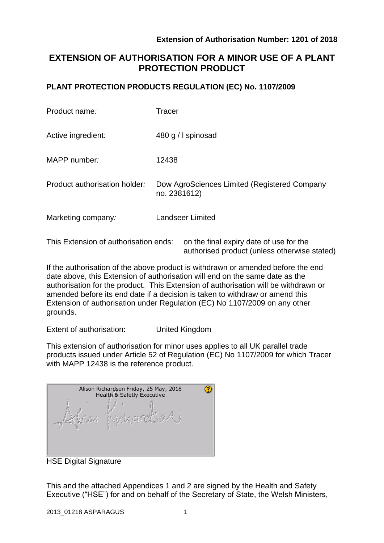authorised product (unless otherwise stated)

# **EXTENSION OF AUTHORISATION FOR A MINOR USE OF A PLANT PROTECTION PRODUCT**

## **PLANT PROTECTION PRODUCTS REGULATION (EC) No. 1107/2009**

| Product name:                         | <b>Tracer</b>                                                |
|---------------------------------------|--------------------------------------------------------------|
| Active ingredient:                    | 480 g / I spinosad                                           |
| MAPP number:                          | 12438                                                        |
| Product authorisation holder:         | Dow AgroSciences Limited (Registered Company<br>no. 2381612) |
| Marketing company:                    | <b>Landseer Limited</b>                                      |
| This Extension of authorisation ends: | on the final expiry date of use for the                      |

If the authorisation of the above product is withdrawn or amended before the end date above, this Extension of authorisation will end on the same date as the authorisation for the product. This Extension of authorisation will be withdrawn or amended before its end date if a decision is taken to withdraw or amend this Extension of authorisation under Regulation (EC) No 1107/2009 on any other grounds.

Extent of authorisation: United Kingdom

This extension of authorisation for minor uses applies to all UK parallel trade products issued under Article 52 of Regulation (EC) No 1107/2009 for which Tracer with MAPP 12438 is the reference product.

| Alison Richardson Friday, 25 May, 2018<br>Health & Safetly Executive |  |  |  |  |
|----------------------------------------------------------------------|--|--|--|--|
|                                                                      |  |  |  |  |

HSE Digital Signature

This and the attached Appendices 1 and 2 are signed by the Health and Safety Executive ("HSE") for and on behalf of the Secretary of State, the Welsh Ministers,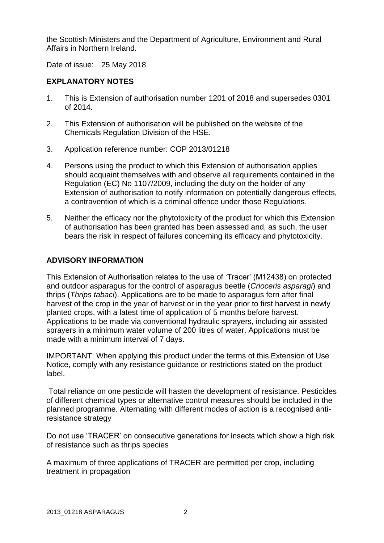the Scottish Ministers and the Department of Agriculture, Environment and Rural Affairs in Northern Ireland.

Date of issue: 25 May 2018

### **EXPLANATORY NOTES**

- 1. This is Extension of authorisation number 1201 of 2018 and supersedes 0301 of 2014.
- 2. This Extension of authorisation will be published on the website of the Chemicals Regulation Division of the HSE.
- 3. Application reference number: COP 2013/01218
- 4. Persons using the product to which this Extension of authorisation applies should acquaint themselves with and observe all requirements contained in the Regulation (EC) No 1107/2009, including the duty on the holder of any Extension of authorisation to notify information on potentially dangerous effects, a contravention of which is a criminal offence under those Regulations.
- 5. Neither the efficacy nor the phytotoxicity of the product for which this Extension of authorisation has been granted has been assessed and, as such, the user bears the risk in respect of failures concerning its efficacy and phytotoxicity.

### **ADVISORY INFORMATION**

This Extension of Authorisation relates to the use of 'Tracer' (M12438) on protected and outdoor asparagus for the control of asparagus beetle (*Crioceris asparagi*) and thrips (*Thrips tabaci*). Applications are to be made to asparagus fern after final harvest of the crop in the year of harvest or in the year prior to first harvest in newly planted crops, with a latest time of application of 5 months before harvest. Applications to be made via conventional hydraulic sprayers, including air assisted sprayers in a minimum water volume of 200 litres of water. Applications must be made with a minimum interval of 7 days.

IMPORTANT: When applying this product under the terms of this Extension of Use Notice, comply with any resistance guidance or restrictions stated on the product label.

Total reliance on one pesticide will hasten the development of resistance. Pesticides of different chemical types or alternative control measures should be included in the planned programme. Alternating with different modes of action is a recognised antiresistance strategy

Do not use 'TRACER' on consecutive generations for insects which show a high risk of resistance such as thrips species

A maximum of three applications of TRACER are permitted per crop, including treatment in propagation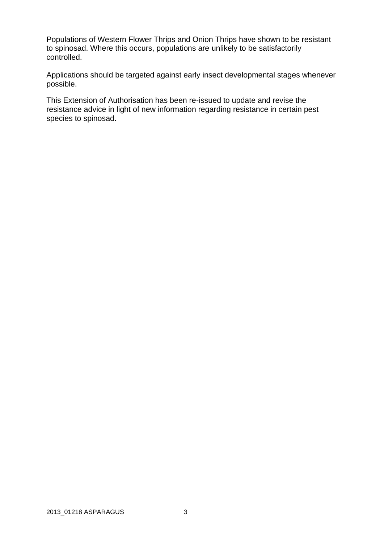Populations of Western Flower Thrips and Onion Thrips have shown to be resistant to spinosad. Where this occurs, populations are unlikely to be satisfactorily controlled.

Applications should be targeted against early insect developmental stages whenever possible.

This Extension of Authorisation has been re-issued to update and revise the resistance advice in light of new information regarding resistance in certain pest species to spinosad.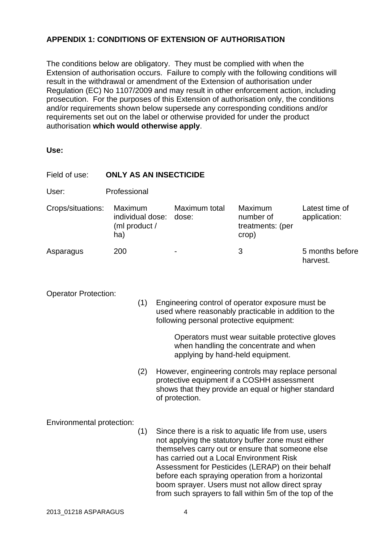# **APPENDIX 1: CONDITIONS OF EXTENSION OF AUTHORISATION**

The conditions below are obligatory. They must be complied with when the Extension of authorisation occurs. Failure to comply with the following conditions will result in the withdrawal or amendment of the Extension of authorisation under Regulation (EC) No 1107/2009 and may result in other enforcement action, including prosecution. For the purposes of this Extension of authorisation only, the conditions and/or requirements shown below supersede any corresponding conditions and/or requirements set out on the label or otherwise provided for under the product authorisation **which would otherwise apply**.

**Use:**

| Field of use:                    | <b>ONLY AS AN INSECTICIDE</b>                       |     |                                                                                                                                                                                                                                                                                                                                                                                                                                   |                                                                                                                                                                           |                                                          |                                |  |  |
|----------------------------------|-----------------------------------------------------|-----|-----------------------------------------------------------------------------------------------------------------------------------------------------------------------------------------------------------------------------------------------------------------------------------------------------------------------------------------------------------------------------------------------------------------------------------|---------------------------------------------------------------------------------------------------------------------------------------------------------------------------|----------------------------------------------------------|--------------------------------|--|--|
| User:                            | Professional                                        |     |                                                                                                                                                                                                                                                                                                                                                                                                                                   |                                                                                                                                                                           |                                                          |                                |  |  |
| Crops/situations:                | Maximum<br>individual dose:<br>(ml product /<br>ha) |     |                                                                                                                                                                                                                                                                                                                                                                                                                                   | Maximum total<br>dose:                                                                                                                                                    | <b>Maximum</b><br>number of<br>treatments: (per<br>crop) | Latest time of<br>application: |  |  |
| Asparagus                        | 200                                                 |     |                                                                                                                                                                                                                                                                                                                                                                                                                                   |                                                                                                                                                                           | 3                                                        | 5 months before<br>harvest.    |  |  |
| <b>Operator Protection:</b>      |                                                     | (1) | Engineering control of operator exposure must be<br>used where reasonably practicable in addition to the<br>following personal protective equipment:                                                                                                                                                                                                                                                                              |                                                                                                                                                                           |                                                          |                                |  |  |
|                                  |                                                     |     | Operators must wear suitable protective gloves<br>when handling the concentrate and when<br>applying by hand-held equipment.                                                                                                                                                                                                                                                                                                      |                                                                                                                                                                           |                                                          |                                |  |  |
|                                  |                                                     | (2) |                                                                                                                                                                                                                                                                                                                                                                                                                                   | However, engineering controls may replace personal<br>protective equipment if a COSHH assessment<br>shows that they provide an equal or higher standard<br>of protection. |                                                          |                                |  |  |
| Environmental protection:<br>(1) |                                                     |     | Since there is a risk to aquatic life from use, users<br>not applying the statutory buffer zone must either<br>themselves carry out or ensure that someone else<br>has carried out a Local Environment Risk<br>Assessment for Pesticides (LERAP) on their behalf<br>before each spraying operation from a horizontal<br>boom sprayer. Users must not allow direct spray<br>from such sprayers to fall within 5m of the top of the |                                                                                                                                                                           |                                                          |                                |  |  |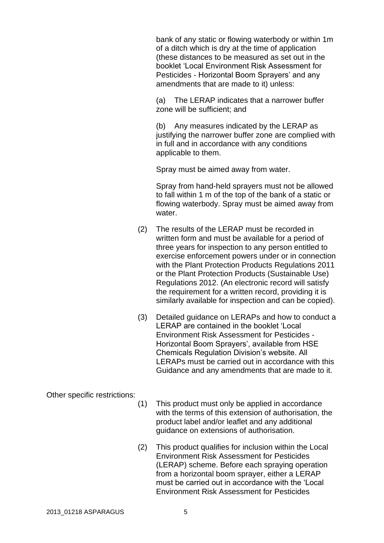bank of any static or flowing waterbody or within 1m of a ditch which is dry at the time of application (these distances to be measured as set out in the booklet 'Local Environment Risk Assessment for Pesticides - Horizontal Boom Sprayers' and any amendments that are made to it) unless:

(a) The LERAP indicates that a narrower buffer zone will be sufficient; and

(b) Any measures indicated by the LERAP as justifying the narrower buffer zone are complied with in full and in accordance with any conditions applicable to them.

Spray must be aimed away from water.

Spray from hand-held sprayers must not be allowed to fall within 1 m of the top of the bank of a static or flowing waterbody. Spray must be aimed away from water.

- (2) The results of the LERAP must be recorded in written form and must be available for a period of three years for inspection to any person entitled to exercise enforcement powers under or in connection with the Plant Protection Products Regulations 2011 or the Plant Protection Products (Sustainable Use) Regulations 2012. (An electronic record will satisfy the requirement for a written record, providing it is similarly available for inspection and can be copied).
- (3) Detailed guidance on LERAPs and how to conduct a LERAP are contained in the booklet 'Local Environment Risk Assessment for Pesticides - Horizontal Boom Sprayers', available from HSE Chemicals Regulation Division's website. All LERAPs must be carried out in accordance with this Guidance and any amendments that are made to it.

Other specific restrictions:

- (1) This product must only be applied in accordance with the terms of this extension of authorisation, the product label and/or leaflet and any additional guidance on extensions of authorisation.
- (2) This product qualifies for inclusion within the Local Environment Risk Assessment for Pesticides (LERAP) scheme. Before each spraying operation from a horizontal boom sprayer, either a LERAP must be carried out in accordance with the 'Local Environment Risk Assessment for Pesticides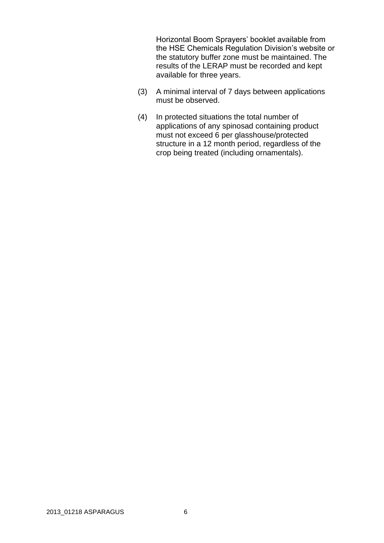Horizontal Boom Sprayers' booklet available from the HSE Chemicals Regulation Division's website or the statutory buffer zone must be maintained. The results of the LERAP must be recorded and kept available for three years.

- (3) A minimal interval of 7 days between applications must be observed.
- (4) In protected situations the total number of applications of any spinosad containing product must not exceed 6 per glasshouse/protected structure in a 12 month period, regardless of the crop being treated (including ornamentals).